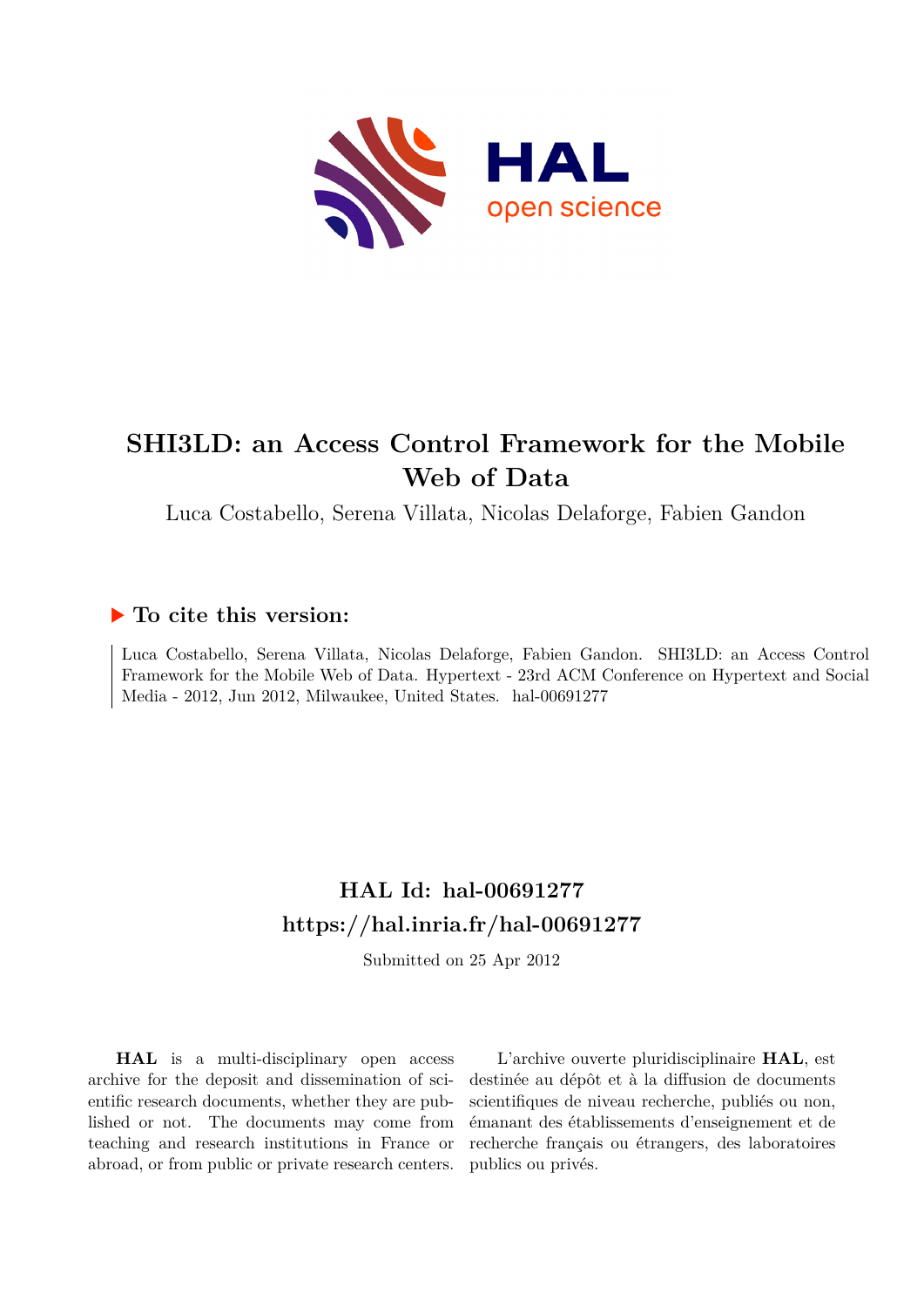

# **SHI3LD: an Access Control Framework for the Mobile Web of Data**

Luca Costabello, Serena Villata, Nicolas Delaforge, Fabien Gandon

### **To cite this version:**

Luca Costabello, Serena Villata, Nicolas Delaforge, Fabien Gandon. SHI3LD: an Access Control Framework for the Mobile Web of Data. Hypertext - 23rd ACM Conference on Hypertext and Social Media - 2012, Jun 2012, Milwaukee, United States. hal-00691277

## **HAL Id: hal-00691277 <https://hal.inria.fr/hal-00691277>**

Submitted on 25 Apr 2012

**HAL** is a multi-disciplinary open access archive for the deposit and dissemination of scientific research documents, whether they are published or not. The documents may come from teaching and research institutions in France or abroad, or from public or private research centers.

L'archive ouverte pluridisciplinaire **HAL**, est destinée au dépôt et à la diffusion de documents scientifiques de niveau recherche, publiés ou non, émanant des établissements d'enseignement et de recherche français ou étrangers, des laboratoires publics ou privés.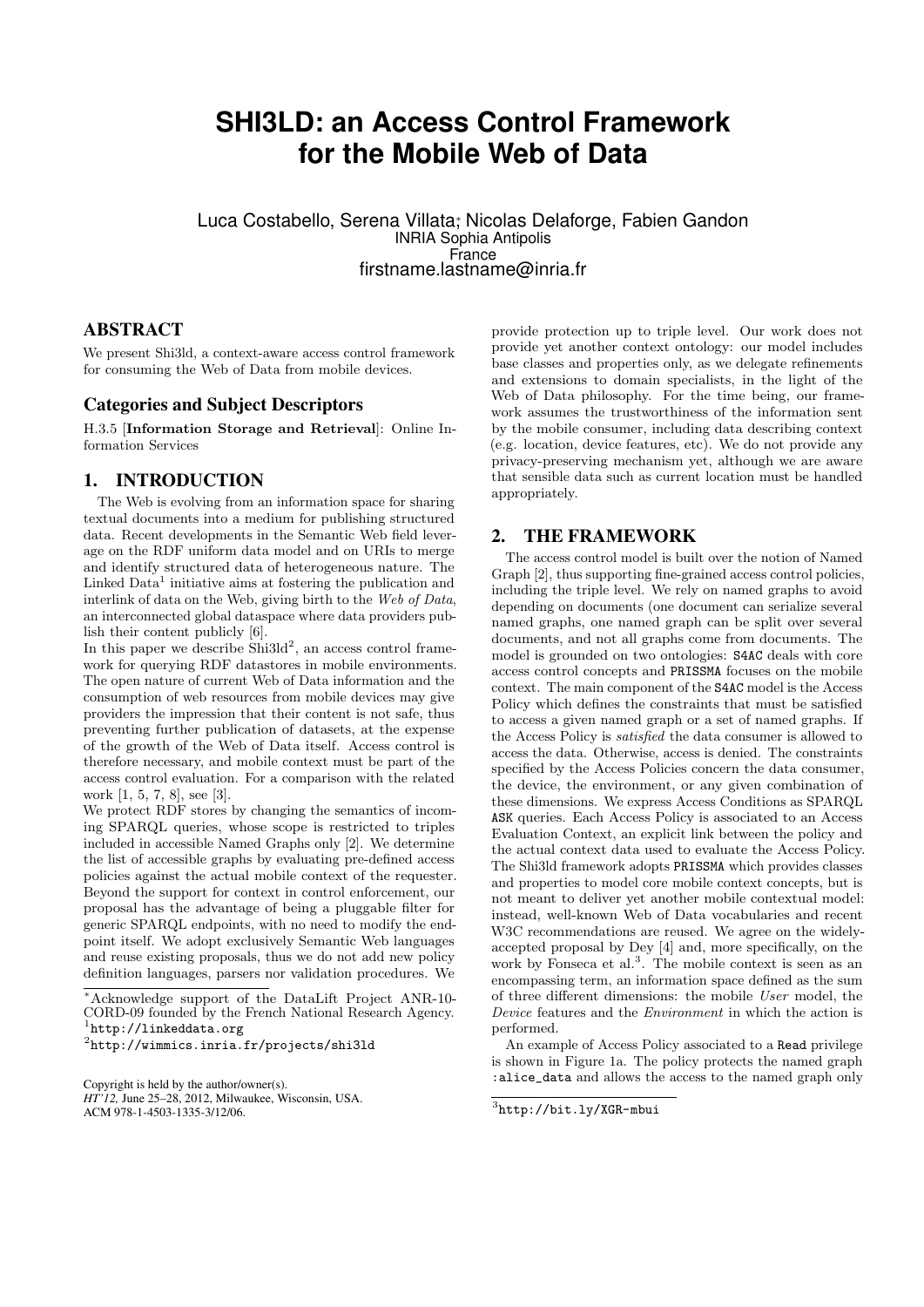### **SHI3LD: an Access Control Framework for the Mobile Web of Data**

Luca Costabello, Serena Villata; Nicolas Delaforge, Fabien Gandon INRIA Sophia Antipolis France firstname.lastname@inria.fr

#### ABSTRACT

We present Shi3ld, a context-aware access control framework for consuming the Web of Data from mobile devices.

#### Categories and Subject Descriptors

H.3.5 [Information Storage and Retrieval]: Online Information Services

#### 1. INTRODUCTION

The Web is evolving from an information space for sharing textual documents into a medium for publishing structured data. Recent developments in the Semantic Web field leverage on the RDF uniform data model and on URIs to merge and identify structured data of heterogeneous nature. The Linked  $Data<sup>1</sup>$  initiative aims at fostering the publication and interlink of data on the Web, giving birth to the *Web of Data*, an interconnected global dataspace where data providers publish their content publicly [6].

In this paper we describe  $\overline{\text{Shild}}^2$ , an access control framework for querying RDF datastores in mobile environments. The open nature of current Web of Data information and the consumption of web resources from mobile devices may give providers the impression that their content is not safe, thus preventing further publication of datasets, at the expense of the growth of the Web of Data itself. Access control is therefore necessary, and mobile context must be part of the access control evaluation. For a comparison with the related work [1, 5, 7, 8], see [3].

We protect RDF stores by changing the semantics of incoming SPARQL queries, whose scope is restricted to triples included in accessible Named Graphs only [2]. We determine the list of accessible graphs by evaluating pre-defined access policies against the actual mobile context of the requester. Beyond the support for context in control enforcement, our proposal has the advantage of being a pluggable filter for generic SPARQL endpoints, with no need to modify the endpoint itself. We adopt exclusively Semantic Web languages and reuse existing proposals, thus we do not add new policy definition languages, parsers nor validation procedures. We

2 http://wimmics.inria.fr/projects/shi3ld

Copyright is held by the author/owner(s). *HT'12,* June 25–28, 2012, Milwaukee, Wisconsin, USA. ACM 978-1-4503-1335-3/12/06.

provide protection up to triple level. Our work does not provide yet another context ontology: our model includes base classes and properties only, as we delegate refinements and extensions to domain specialists, in the light of the Web of Data philosophy. For the time being, our framework assumes the trustworthiness of the information sent by the mobile consumer, including data describing context (e.g. location, device features, etc). We do not provide any privacy-preserving mechanism yet, although we are aware that sensible data such as current location must be handled appropriately.

#### 2. THE FRAMEWORK

The access control model is built over the notion of Named Graph [2], thus supporting fine-grained access control policies, including the triple level. We rely on named graphs to avoid depending on documents (one document can serialize several named graphs, one named graph can be split over several documents, and not all graphs come from documents. The model is grounded on two ontologies: S4AC deals with core access control concepts and PRISSMA focuses on the mobile context. The main component of the S4AC model is the Access Policy which defines the constraints that must be satisfied to access a given named graph or a set of named graphs. If the Access Policy is *satisfied* the data consumer is allowed to access the data. Otherwise, access is denied. The constraints specified by the Access Policies concern the data consumer, the device, the environment, or any given combination of these dimensions. We express Access Conditions as SPARQL ASK queries. Each Access Policy is associated to an Access Evaluation Context, an explicit link between the policy and the actual context data used to evaluate the Access Policy. The Shi3ld framework adopts PRISSMA which provides classes and properties to model core mobile context concepts, but is not meant to deliver yet another mobile contextual model: instead, well-known Web of Data vocabularies and recent W3C recommendations are reused. We agree on the widelyaccepted proposal by Dey [4] and, more specifically, on the work by Fonseca et al.<sup>3</sup>. The mobile context is seen as an encompassing term, an information space defined as the sum of three different dimensions: the mobile *User* model, the *Device* features and the *Environment* in which the action is performed.

An example of Access Policy associated to a Read privilege is shown in Figure 1a. The policy protects the named graph :alice\_data and allows the access to the named graph only

<sup>∗</sup>Acknowledge support of the DataLift Project ANR-10- CORD-09 founded by the French National Research Agency. 1 http://linkeddata.org

<sup>3</sup> http://bit.ly/XGR-mbui